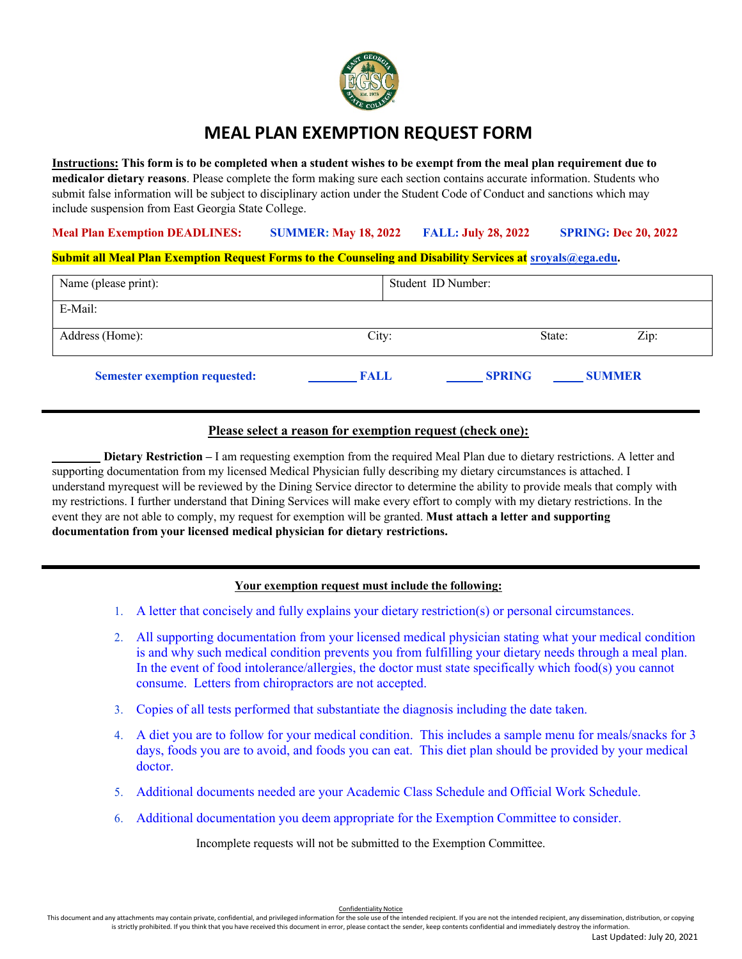

# **MEAL PLAN EXEMPTION REQUEST FORM**

Instructions: This form is to be completed when a student wishes to be exempt from the meal plan requirement due to **medical or dietary reasons**. Please complete the form making sure each section contains accurate information. Students who submit false information will be subject to disciplinary action under the Student Code of Conduct and sanctions which may include suspension from East Georgia State College.

#### **Meal Plan Exemption DEADLINES: SUMMER: May 18, 2022 FALL: July 28, 2022 SPRING: Dec 20, 2022**

#### **Submit all Meal Plan Exemption Request Forms to the Counseling and Disability Services at sroyals@ega.edu.**

| Name (please print):                 |             | Student ID Number: |               |  |
|--------------------------------------|-------------|--------------------|---------------|--|
| E-Mail:                              |             |                    |               |  |
| Address (Home):                      | City:       | State:             | Zip:          |  |
| <b>Semester exemption requested:</b> | <b>FALL</b> | <b>SPRING</b>      | <b>SUMMER</b> |  |

#### **Please select a reason for exemption request (check one):**

**Dietary Restriction –** I am requesting exemption from the required Meal Plan due to dietary restrictions. A letter and supporting documentation from my licensed Medical Physician fully describing my dietary circumstances is attached. I understand myrequest will be reviewed by the Dining Service director to determine the ability to provide meals that comply with my restrictions. I further understand that Dining Services will make every effort to comply with my dietary restrictions. In the event they are not able to comply, my request for exemption will be granted. **Must attach a letter and supporting documentation from your licensed medical physician for dietary restrictions.**

## **Your exemption request must include the following:**

- 1. A letter that concisely and fully explains your dietary restriction(s) or personal circumstances.
- 2. All supporting documentation from your licensed medical physician stating what your medical condition is and why such medical condition prevents you from fulfilling your dietary needs through a meal plan. In the event of food intolerance/allergies, the doctor must state specifically which food(s) you cannot consume. Letters from chiropractors are not accepted.
- 3. Copies of all tests performed that substantiate the diagnosis including the date taken.
- 4. A diet you are to follow for your medical condition. This includes a sample menu for meals/snacks for 3 days, foods you are to avoid, and foods you can eat. This diet plan should be provided by your medical doctor.
- 5. Additional documents needed are your Academic Class Schedule and Official Work Schedule.
- 6. Additional documentation you deem appropriate for the Exemption Committee to consider.

Incomplete requests will not be submitted to the Exemption Committee.

Confidentiality Notice<br>This document and any attachments may contain private, confidential, and privileged information for the sole use of the intended recipient. If you are not the intended recipient, any dissemination, d

is strictly prohibited. If you think that you have received this document in error, please contact the sender, keep contents confidential and immediately destroy the information